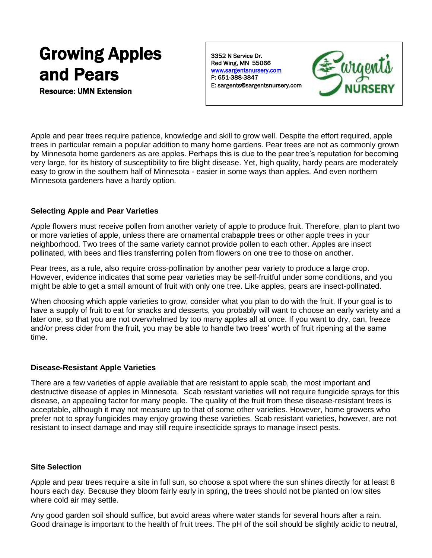# Growing Apples and Pears

Resource: UMN Extension

3352 N Service Dr. Red Wing, MN 55066 [www.sargentsnursery.com](http://www.sargentsnursery.com/)  P: 651-388-3847 E: sargents@sargentsnursery.com



Apple and pear trees require patience, knowledge and skill to grow well. Despite the effort required, apple trees in particular remain a popular addition to many home gardens. Pear trees are not as commonly grown by Minnesota home gardeners as are apples. Perhaps this is due to the pear tree's reputation for becoming very large, for its history of susceptibility to fire blight disease. Yet, high quality, hardy pears are moderately easy to grow in the southern half of Minnesota - easier in some ways than apples. And even northern Minnesota gardeners have a hardy option.

## **Selecting Apple and Pear Varieties**

Apple flowers must receive pollen from another variety of apple to produce fruit. Therefore, plan to plant two or more varieties of apple, unless there are ornamental crabapple trees or other apple trees in your neighborhood. Two trees of the same variety cannot provide pollen to each other. Apples are insect pollinated, with bees and flies transferring pollen from flowers on one tree to those on another.

Pear trees, as a rule, also require cross-pollination by another pear variety to produce a large crop. However, evidence indicates that some pear varieties may be self-fruitful under some conditions, and you might be able to get a small amount of fruit with only one tree. Like apples, pears are insect-pollinated.

When choosing which apple varieties to grow, consider what you plan to do with the fruit. If your goal is to have a supply of fruit to eat for snacks and desserts, you probably will want to choose an early variety and a later one, so that you are not overwhelmed by too many apples all at once. If you want to dry, can, freeze and/or press cider from the fruit, you may be able to handle two trees' worth of fruit ripening at the same time.

### **Disease-Resistant Apple Varieties**

There are a few varieties of apple available that are resistant to apple scab, the most important and destructive disease of apples in Minnesota. Scab resistant varieties will not require fungicide sprays for this disease, an appealing factor for many people. The quality of the fruit from these disease-resistant trees is acceptable, although it may not measure up to that of some other varieties. However, home growers who prefer not to spray fungicides may enjoy growing these varieties. Scab resistant varieties, however, are not resistant to insect damage and may still require insecticide sprays to manage insect pests.

### **Site Selection**

Apple and pear trees require a site in full sun, so choose a spot where the sun shines directly for at least 8 hours each day. Because they bloom fairly early in spring, the trees should not be planted on low sites where cold air may settle.

Any good garden soil should suffice, but avoid areas where water stands for several hours after a rain. Good drainage is important to the health of fruit trees. The pH of the soil should be slightly acidic to neutral,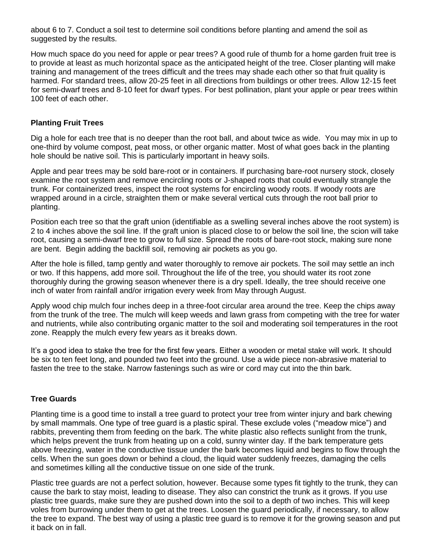about 6 to 7. Conduct a soil test to determine soil conditions before planting and amend the soil as suggested by the results.

How much space do you need for apple or pear trees? A good rule of thumb for a home garden fruit tree is to provide at least as much horizontal space as the anticipated height of the tree. Closer planting will make training and management of the trees difficult and the trees may shade each other so that fruit quality is harmed. For standard trees, allow 20-25 feet in all directions from buildings or other trees. Allow 12-15 feet for semi-dwarf trees and 8-10 feet for dwarf types. For best pollination, plant your apple or pear trees within 100 feet of each other.

## **Planting Fruit Trees**

Dig a hole for each tree that is no deeper than the root ball, and about twice as wide. You may mix in up to one-third by volume compost, peat moss, or other organic matter. Most of what goes back in the planting hole should be native soil. This is particularly important in heavy soils.

Apple and pear trees may be sold bare-root or in containers. If purchasing bare-root nursery stock, closely examine the root system and remove encircling roots or J-shaped roots that could eventually strangle the trunk. For containerized trees, inspect the root systems for encircling woody roots. If woody roots are wrapped around in a circle, straighten them or make several vertical cuts through the root ball prior to planting.

Position each tree so that the graft union (identifiable as a swelling several inches above the root system) is 2 to 4 inches above the soil line. If the graft union is placed close to or below the soil line, the scion will take root, causing a semi-dwarf tree to grow to full size. Spread the roots of bare-root stock, making sure none are bent. Begin adding the backfill soil, removing air pockets as you go.

After the hole is filled, tamp gently and water thoroughly to remove air pockets. The soil may settle an inch or two. If this happens, add more soil. Throughout the life of the tree, you should water its root zone thoroughly during the growing season whenever there is a dry spell. Ideally, the tree should receive one inch of water from rainfall and/or irrigation every week from May through August.

Apply wood chip mulch four inches deep in a three-foot circular area around the tree. Keep the chips away from the trunk of the tree. The mulch will keep weeds and lawn grass from competing with the tree for water and nutrients, while also contributing organic matter to the soil and moderating soil temperatures in the root zone. Reapply the mulch every few years as it breaks down.

It's a good idea to stake the tree for the first few years. Either a wooden or metal stake will work. It should be six to ten feet long, and pounded two feet into the ground. Use a wide piece non-abrasive material to fasten the tree to the stake. Narrow fastenings such as wire or cord may cut into the thin bark.

### **Tree Guards**

Planting time is a good time to install a tree guard to protect your tree from winter injury and bark chewing by small mammals. One type of tree guard is a plastic spiral. These exclude voles ("meadow mice") and rabbits, preventing them from feeding on the bark. The white plastic also reflects sunlight from the trunk, which helps prevent the trunk from heating up on a cold, sunny winter day. If the bark temperature gets above freezing, water in the conductive tissue under the bark becomes liquid and begins to flow through the cells. When the sun goes down or behind a cloud, the liquid water suddenly freezes, damaging the cells and sometimes killing all the conductive tissue on one side of the trunk.

Plastic tree guards are not a perfect solution, however. Because some types fit tightly to the trunk, they can cause the bark to stay moist, leading to disease. They also can constrict the trunk as it grows. If you use plastic tree guards, make sure they are pushed down into the soil to a depth of two inches. This will keep voles from burrowing under them to get at the trees. Loosen the guard periodically, if necessary, to allow the tree to expand. The best way of using a plastic tree guard is to remove it for the growing season and put it back on in fall.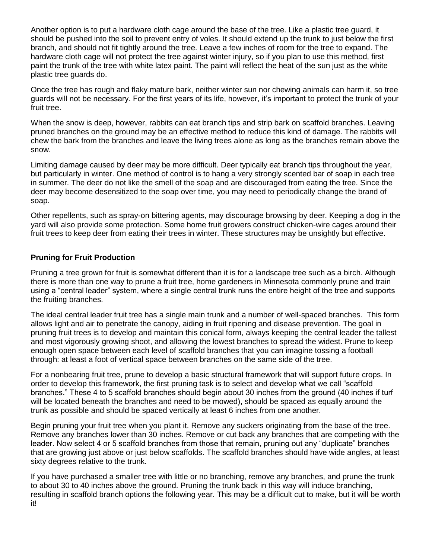Another option is to put a hardware cloth cage around the base of the tree. Like a plastic tree guard, it should be pushed into the soil to prevent entry of voles. It should extend up the trunk to just below the first branch, and should not fit tightly around the tree. Leave a few inches of room for the tree to expand. The hardware cloth cage will not protect the tree against winter injury, so if you plan to use this method, first paint the trunk of the tree with white latex paint. The paint will reflect the heat of the sun just as the white plastic tree guards do.

Once the tree has rough and flaky mature bark, neither winter sun nor chewing animals can harm it, so tree guards will not be necessary. For the first years of its life, however, it's important to protect the trunk of your fruit tree.

When the snow is deep, however, rabbits can eat branch tips and strip bark on scaffold branches. Leaving pruned branches on the ground may be an effective method to reduce this kind of damage. The rabbits will chew the bark from the branches and leave the living trees alone as long as the branches remain above the snow.

Limiting damage caused by deer may be more difficult. Deer typically eat branch tips throughout the year, but particularly in winter. One method of control is to hang a very strongly scented bar of soap in each tree in summer. The deer do not like the smell of the soap and are discouraged from eating the tree. Since the deer may become desensitized to the soap over time, you may need to periodically change the brand of soap.

Other repellents, such as spray-on bittering agents, may discourage browsing by deer. Keeping a dog in the yard will also provide some protection. Some home fruit growers construct chicken-wire cages around their fruit trees to keep deer from eating their trees in winter. These structures may be unsightly but effective.

## **Pruning for Fruit Production**

Pruning a tree grown for fruit is somewhat different than it is for a landscape tree such as a birch. Although there is more than one way to prune a fruit tree, home gardeners in Minnesota commonly prune and train using a "central leader" system, where a single central trunk runs the entire height of the tree and supports the fruiting branches.

The ideal central leader fruit tree has a single main trunk and a number of well-spaced branches. This form allows light and air to penetrate the canopy, aiding in fruit ripening and disease prevention. The goal in pruning fruit trees is to develop and maintain this conical form, always keeping the central leader the tallest and most vigorously growing shoot, and allowing the lowest branches to spread the widest. Prune to keep enough open space between each level of scaffold branches that you can imagine tossing a football through: at least a foot of vertical space between branches on the same side of the tree.

For a nonbearing fruit tree, prune to develop a basic structural framework that will support future crops. In order to develop this framework, the first pruning task is to select and develop what we call "scaffold branches." These 4 to 5 scaffold branches should begin about 30 inches from the ground (40 inches if turf will be located beneath the branches and need to be mowed), should be spaced as equally around the trunk as possible and should be spaced vertically at least 6 inches from one another.

Begin pruning your fruit tree when you plant it. Remove any suckers originating from the base of the tree. Remove any branches lower than 30 inches. Remove or cut back any branches that are competing with the leader. Now select 4 or 5 scaffold branches from those that remain, pruning out any "duplicate" branches that are growing just above or just below scaffolds. The scaffold branches should have wide angles, at least sixty degrees relative to the trunk.

If you have purchased a smaller tree with little or no branching, remove any branches, and prune the trunk to about 30 to 40 inches above the ground. Pruning the trunk back in this way will induce branching, resulting in scaffold branch options the following year. This may be a difficult cut to make, but it will be worth it!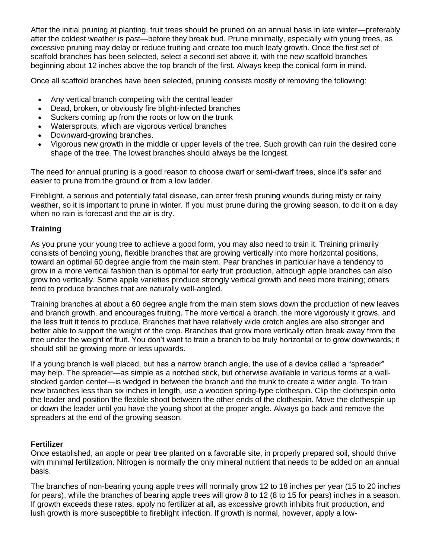After the initial pruning at planting, fruit trees should be pruned on an annual basis in late winter—preferably after the coldest weather is past—before they break bud. Prune minimally, especially with young trees, as excessive pruning may delay or reduce fruiting and create too much leafy growth. Once the first set of scaffold branches has been selected, select a second set above it, with the new scaffold branches beginning about 12 inches above the top branch of the first. Always keep the conical form in mind.

Once all scaffold branches have been selected, pruning consists mostly of removing the following:

- Any vertical branch competing with the central leader
- Dead, broken, or obviously fire blight-infected branches
- Suckers coming up from the roots or low on the trunk
- Watersprouts, which are vigorous vertical branches
- Downward-growing branches.
- Vigorous new growth in the middle or upper levels of the tree. Such growth can ruin the desired cone shape of the tree. The lowest branches should always be the longest.

The need for annual pruning is a good reason to choose dwarf or semi-dwarf trees, since it's safer and easier to prune from the ground or from a low ladder.

Fireblight, a serious and potentially fatal disease, can enter fresh pruning wounds during misty or rainy weather, so it is important to prune in winter. If you must prune during the growing season, to do it on a day when no rain is forecast and the air is dry.

## **Training**

As you prune your young tree to achieve a good form, you may also need to train it. Training primarily consists of bending young, flexible branches that are growing vertically into more horizontal positions, toward an optimal 60 degree angle from the main stem. Pear branches in particular have a tendency to grow in a more vertical fashion than is optimal for early fruit production, although apple branches can also grow too vertically. Some apple varieties produce strongly vertical growth and need more training; others tend to produce branches that are naturally well-angled.

Training branches at about a 60 degree angle from the main stem slows down the production of new leaves and branch growth, and encourages fruiting. The more vertical a branch, the more vigorously it grows, and the less fruit it tends to produce. Branches that have relatively wide crotch angles are also stronger and better able to support the weight of the crop. Branches that grow more vertically often break away from the tree under the weight of fruit. You don't want to train a branch to be truly horizontal or to grow downwards; it should still be growing more or less upwards.

If a young branch is well placed, but has a narrow branch angle, the use of a device called a "spreader" may help. The spreader—as simple as a notched stick, but otherwise available in various forms at a wellstocked garden center—is wedged in between the branch and the trunk to create a wider angle. To train new branches less than six inches in length, use a wooden spring-type clothespin. Clip the clothespin onto the leader and position the flexible shoot between the other ends of the clothespin. Move the clothespin up or down the leader until you have the young shoot at the proper angle. Always go back and remove the spreaders at the end of the growing season.

### **Fertilizer**

Once established, an apple or pear tree planted on a favorable site, in properly prepared soil, should thrive with minimal fertilization. Nitrogen is normally the only mineral nutrient that needs to be added on an annual basis.

The branches of non-bearing young apple trees will normally grow 12 to 18 inches per year (15 to 20 inches for pears), while the branches of bearing apple trees will grow 8 to 12 (8 to 15 for pears) inches in a season. If growth exceeds these rates, apply no fertilizer at all, as excessive growth inhibits fruit production, and lush growth is more susceptible to fireblight infection. If growth is normal, however, apply a low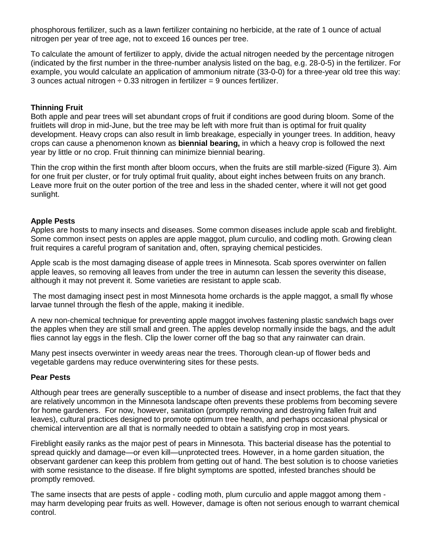phosphorous fertilizer, such as a lawn fertilizer containing no herbicide, at the rate of 1 ounce of actual nitrogen per year of tree age, not to exceed 16 ounces per tree.

To calculate the amount of fertilizer to apply, divide the actual nitrogen needed by the percentage nitrogen (indicated by the first number in the three-number analysis listed on the bag, e.g. 28-0-5) in the fertilizer. For example, you would calculate an application of ammonium nitrate (33-0-0) for a three-year old tree this way: 3 ounces actual nitrogen  $\div$  0.33 nitrogen in fertilizer = 9 ounces fertilizer.

### **Thinning Fruit**

Both apple and pear trees will set abundant crops of fruit if conditions are good during bloom. Some of the fruitlets will drop in mid-June, but the tree may be left with more fruit than is optimal for fruit quality development. Heavy crops can also result in limb breakage, especially in younger trees. In addition, heavy crops can cause a phenomenon known as **biennial bearing,** in which a heavy crop is followed the next year by little or no crop. Fruit thinning can minimize biennial bearing.

Thin the crop within the first month after bloom occurs, when the fruits are still marble-sized (Figure 3). Aim for one fruit per cluster, or for truly optimal fruit quality, about eight inches between fruits on any branch. Leave more fruit on the outer portion of the tree and less in the shaded center, where it will not get good sunlight.

### **Apple Pests**

Apples are hosts to many insects and diseases. Some common diseases include apple scab and fireblight. Some common insect pests on apples are apple maggot, plum curculio, and codling moth. Growing clean fruit requires a careful program of sanitation and, often, spraying chemical pesticides.

Apple scab is the most damaging disease of apple trees in Minnesota. Scab spores overwinter on fallen apple leaves, so removing all leaves from under the tree in autumn can lessen the severity this disease, although it may not prevent it. Some varieties are resistant to apple scab.

The most damaging insect pest in most Minnesota home orchards is the apple maggot, a small fly whose larvae tunnel through the flesh of the apple, making it inedible.

A new non-chemical technique for preventing apple maggot involves fastening plastic sandwich bags over the apples when they are still small and green. The apples develop normally inside the bags, and the adult flies cannot lay eggs in the flesh. Clip the lower corner off the bag so that any rainwater can drain.

Many pest insects overwinter in weedy areas near the trees. Thorough clean-up of flower beds and vegetable gardens may reduce overwintering sites for these pests.

### **Pear Pests**

Although pear trees are generally susceptible to a number of disease and insect problems, the fact that they are relatively uncommon in the Minnesota landscape often prevents these problems from becoming severe for home gardeners. For now, however, sanitation (promptly removing and destroying fallen fruit and leaves), cultural practices designed to promote optimum tree health, and perhaps occasional physical or chemical intervention are all that is normally needed to obtain a satisfying crop in most years.

Fireblight easily ranks as the major pest of pears in Minnesota. This bacterial disease has the potential to spread quickly and damage—or even kill—unprotected trees. However, in a home garden situation, the observant gardener can keep this problem from getting out of hand. The best solution is to choose varieties with some resistance to the disease. If fire blight symptoms are spotted, infested branches should be promptly removed.

The same insects that are pests of apple - codling moth, plum curculio and apple maggot among them may harm developing pear fruits as well. However, damage is often not serious enough to warrant chemical control.